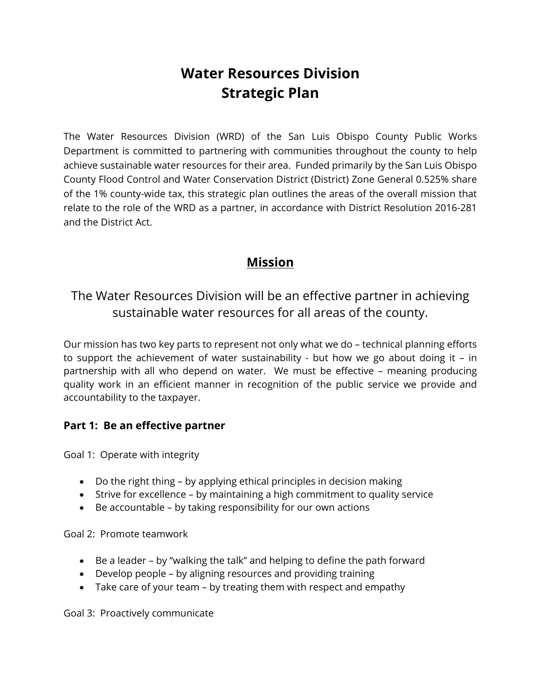# **Water Resources Division Strategic Plan**

The Water Resources Division (WRD) of the San Luis Obispo County Public Works Department is committed to partnering with communities throughout the county to help achieve sustainable water resources for their area. Funded primarily by the San Luis Obispo County Flood Control and Water Conservation District (District) Zone General 0.525% share of the 1% county-wide tax, this strategic plan outlines the areas of the overall mission that relate to the role of the WRD as a partner, in accordance with District Resolution 2016-281 and the District Act.

# **Mission**

The Water Resources Division will be an effective partner in achieving sustainable water resources for all areas of the county.

Our mission has two key parts to represent not only what we do – technical planning efforts to support the achievement of water sustainability - but how we go about doing it – in partnership with all who depend on water. We must be effective – meaning producing quality work in an efficient manner in recognition of the public service we provide and accountability to the taxpayer.

## **Part 1: Be an effective partner**

Goal 1: Operate with integrity

- Do the right thing by applying ethical principles in decision making
- Strive for excellence by maintaining a high commitment to quality service
- Be accountable by taking responsibility for our own actions

Goal 2: Promote teamwork

- Be a leader by "walking the talk" and helping to define the path forward
- Develop people by aligning resources and providing training
- Take care of your team by treating them with respect and empathy

Goal 3: Proactively communicate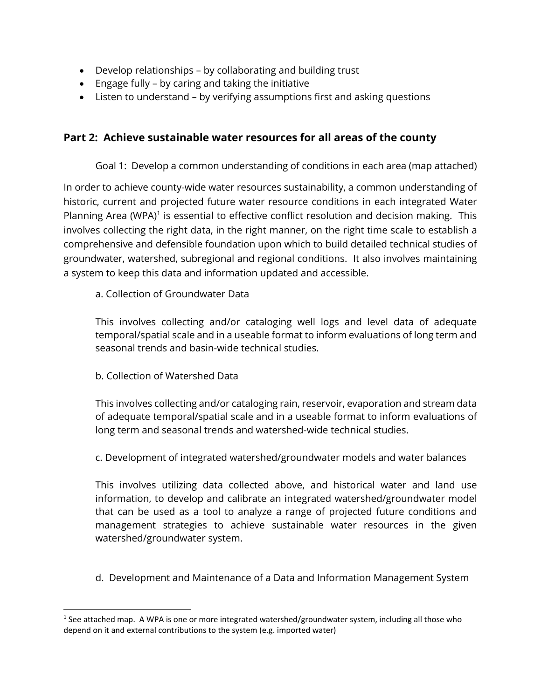- Develop relationships by collaborating and building trust
- Engage fully by caring and taking the initiative
- Listen to understand by verifying assumptions first and asking questions

### **Part 2: Achieve sustainable water resources for all areas of the county**

Goal 1: Develop a common understanding of conditions in each area (map attached)

In order to achieve county-wide water resources sustainability, a common understanding of historic, current and projected future water resource conditions in each integrated Water Planning Area (WPA)<sup>1</sup> is essential to effective conflict resolution and decision making. This involves collecting the right data, in the right manner, on the right time scale to establish a comprehensive and defensible foundation upon which to build detailed technical studies of groundwater, watershed, subregional and regional conditions. It also involves maintaining a system to keep this data and information updated and accessible.

a. Collection of Groundwater Data

This involves collecting and/or cataloging well logs and level data of adequate temporal/spatial scale and in a useable format to inform evaluations of long term and seasonal trends and basin-wide technical studies.

b. Collection of Watershed Data

This involves collecting and/or cataloging rain, reservoir, evaporation and stream data of adequate temporal/spatial scale and in a useable format to inform evaluations of long term and seasonal trends and watershed-wide technical studies.

c. Development of integrated watershed/groundwater models and water balances

This involves utilizing data collected above, and historical water and land use information, to develop and calibrate an integrated watershed/groundwater model that can be used as a tool to analyze a range of projected future conditions and management strategies to achieve sustainable water resources in the given watershed/groundwater system.

d. Development and Maintenance of a Data and Information Management System

<sup>&</sup>lt;sup>1</sup> See attached map. A WPA is one or more integrated watershed/groundwater system, including all those who depend on it and external contributions to the system (e.g. imported water)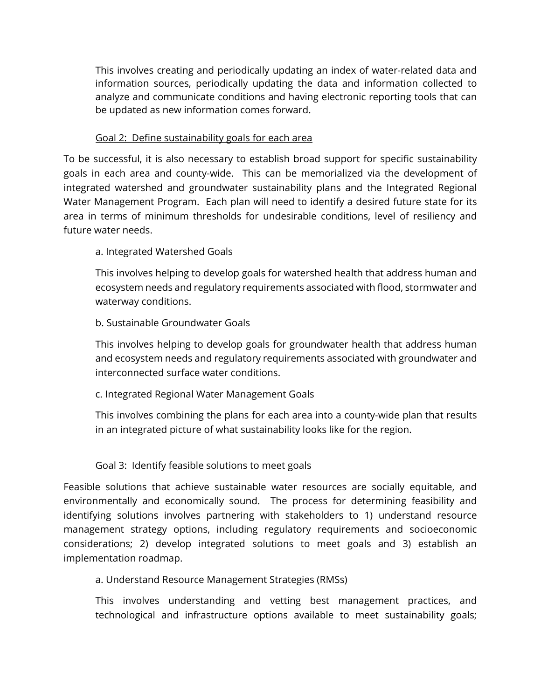This involves creating and periodically updating an index of water-related data and information sources, periodically updating the data and information collected to analyze and communicate conditions and having electronic reporting tools that can be updated as new information comes forward.

#### Goal 2: Define sustainability goals for each area

To be successful, it is also necessary to establish broad support for specific sustainability goals in each area and county-wide. This can be memorialized via the development of integrated watershed and groundwater sustainability plans and the Integrated Regional Water Management Program. Each plan will need to identify a desired future state for its area in terms of minimum thresholds for undesirable conditions, level of resiliency and future water needs.

#### a. Integrated Watershed Goals

This involves helping to develop goals for watershed health that address human and ecosystem needs and regulatory requirements associated with flood, stormwater and waterway conditions.

#### b. Sustainable Groundwater Goals

This involves helping to develop goals for groundwater health that address human and ecosystem needs and regulatory requirements associated with groundwater and interconnected surface water conditions.

#### c. Integrated Regional Water Management Goals

This involves combining the plans for each area into a county-wide plan that results in an integrated picture of what sustainability looks like for the region.

#### Goal 3: Identify feasible solutions to meet goals

Feasible solutions that achieve sustainable water resources are socially equitable, and environmentally and economically sound. The process for determining feasibility and identifying solutions involves partnering with stakeholders to 1) understand resource management strategy options, including regulatory requirements and socioeconomic considerations; 2) develop integrated solutions to meet goals and 3) establish an implementation roadmap.

#### a. Understand Resource Management Strategies (RMSs)

This involves understanding and vetting best management practices, and technological and infrastructure options available to meet sustainability goals;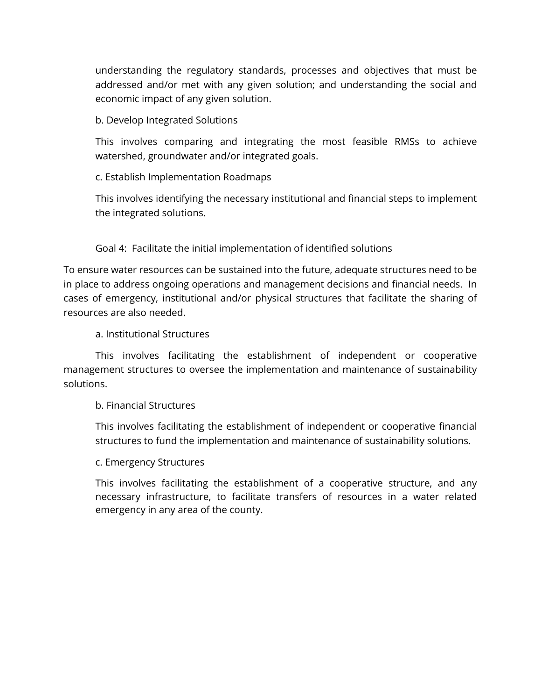understanding the regulatory standards, processes and objectives that must be addressed and/or met with any given solution; and understanding the social and economic impact of any given solution.

b. Develop Integrated Solutions

This involves comparing and integrating the most feasible RMSs to achieve watershed, groundwater and/or integrated goals.

c. Establish Implementation Roadmaps

This involves identifying the necessary institutional and financial steps to implement the integrated solutions.

Goal 4: Facilitate the initial implementation of identified solutions

To ensure water resources can be sustained into the future, adequate structures need to be in place to address ongoing operations and management decisions and financial needs. In cases of emergency, institutional and/or physical structures that facilitate the sharing of resources are also needed.

a. Institutional Structures

 This involves facilitating the establishment of independent or cooperative management structures to oversee the implementation and maintenance of sustainability solutions.

b. Financial Structures

This involves facilitating the establishment of independent or cooperative financial structures to fund the implementation and maintenance of sustainability solutions.

c. Emergency Structures

This involves facilitating the establishment of a cooperative structure, and any necessary infrastructure, to facilitate transfers of resources in a water related emergency in any area of the county.